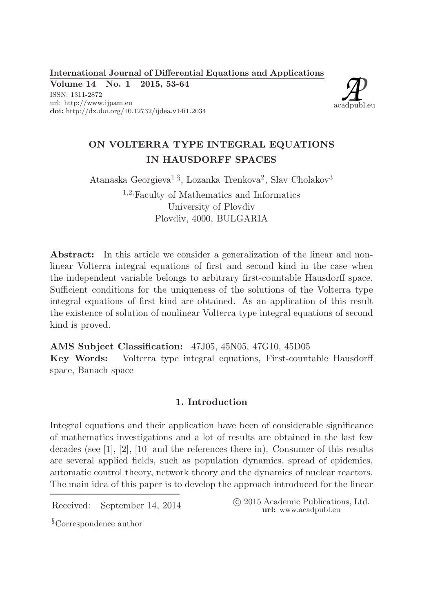International Journal of Differential Equations and Applications

Volume 14 No. 1 2015, 53-64 ISSN: 1311-2872





# ON VOLTERRA TYPE INTEGRAL EQUATIONS IN HAUSDORFF SPACES

Atanaska Georgieva<sup>1§</sup>, Lozanka Trenkova<sup>2</sup>, Slav Cholakov<sup>3</sup> <sup>1</sup>,2,Faculty of Mathematics and Informatics University of Plovdiv Plovdiv, 4000, BULGARIA

Abstract: In this article we consider a generalization of the linear and nonlinear Volterra integral equations of first and second kind in the case when the independent variable belongs to arbitrary first-countable Hausdorff space. Sufficient conditions for the uniqueness of the solutions of the Volterra type integral equations of first kind are obtained. As an application of this result the existence of solution of nonlinear Volterra type integral equations of second kind is proved.

AMS Subject Classification: 47J05, 45N05, 47G10, 45D05 Key Words: Volterra type integral equations, First-countable Hausdorff space, Banach space

# 1. Introduction

Integral equations and their application have been of considerable significance of mathematics investigations and a lot of results are obtained in the last few decades (see [1], [2], [10] and the references there in). Consumer of this results are several applied fields, such as population dynamics, spread of epidemics, automatic control theory, network theory and the dynamics of nuclear reactors. The main idea of this paper is to develop the approach introduced for the linear

Received: September 14, 2014 
C 2015 Academic Publications, Ltd. url: www.acadpubl.eu

§Correspondence author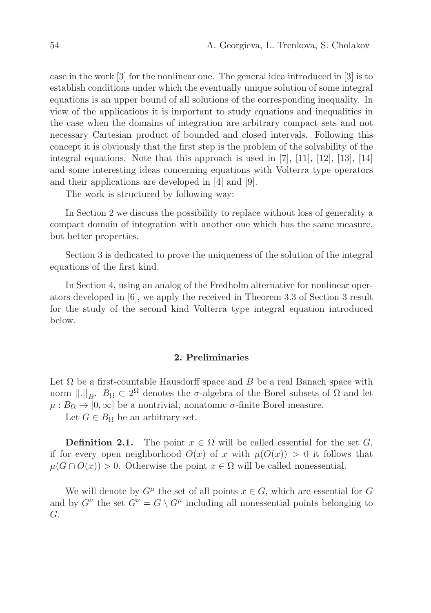case in the work [3] for the nonlinear one. The general idea introduced in [3] is to establish conditions under which the eventually unique solution of some integral equations is an upper bound of all solutions of the corresponding inequality. In view of the applications it is important to study equations and inequalities in the case when the domains of integration are arbitrary compact sets and not necessary Cartesian product of bounded and closed intervals. Following this concept it is obviously that the first step is the problem of the solvability of the integral equations. Note that this approach is used in [7], [11], [12], [13], [14] and some interesting ideas concerning equations with Volterra type operators and their applications are developed in [4] and [9].

The work is structured by following way:

In Section 2 we discuss the possibility to replace without loss of generality a compact domain of integration with another one which has the same measure, but better properties.

Section 3 is dedicated to prove the uniqueness of the solution of the integral equations of the first kind.

In Section 4, using an analog of the Fredholm alternative for nonlinear operators developed in [6], we apply the received in Theorem 3.3 of Section 3 result for the study of the second kind Volterra type integral equation introduced below.

## 2. Preliminaries

Let  $\Omega$  be a first-countable Hausdorff space and B be a real Banach space with norm  $\|.\|_B$ .  $B_{\Omega} \subset 2^{\Omega}$  denotes the  $\sigma$ -algebra of the Borel subsets of  $\Omega$  and let  $\mu : B_{\Omega} \to [0, \infty]$  be a nontrivial, nonatomic  $\sigma$ -finite Borel measure.

Let  $G \in B_{\Omega}$  be an arbitrary set.

**Definition 2.1.** The point  $x \in \Omega$  will be called essential for the set G, if for every open neighborhood  $O(x)$  of x with  $\mu(O(x)) > 0$  it follows that  $\mu(G \cap O(x)) > 0$ . Otherwise the point  $x \in \Omega$  will be called nonessential.

We will denote by  $G^{\mu}$  the set of all points  $x \in G$ , which are essential for G and by  $G^{\nu}$  the set  $G^{\nu} = G \setminus G^{\mu}$  including all nonessential points belonging to G.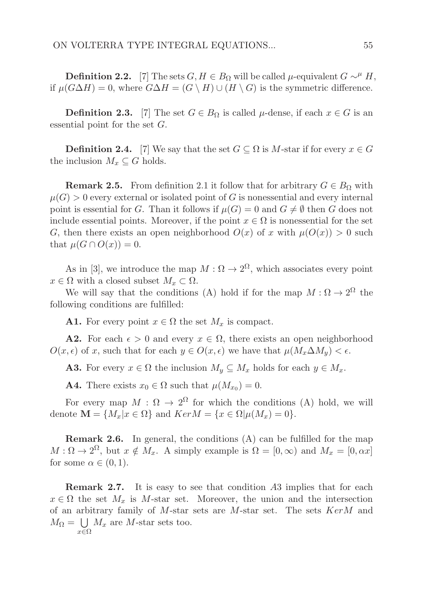Definition 2.2. [7] The sets  $G, H \in B_{\Omega}$  will be called  $\mu$ -equivalent  $G \sim^{\mu} H$ , if  $\mu(G\Delta H) = 0$ , where  $G\Delta H = (G \setminus H) \cup (H \setminus G)$  is the symmetric difference.

**Definition 2.3.** [7] The set  $G \in B_{\Omega}$  is called  $\mu$ -dense, if each  $x \in G$  is an essential point for the set G.

**Definition 2.4.** [7] We say that the set  $G \subseteq \Omega$  is M-star if for every  $x \in G$ the inclusion  $M_x \subseteq G$  holds.

**Remark 2.5.** From definition 2.1 it follow that for arbitrary  $G \in B_{\Omega}$  with  $\mu(G) > 0$  every external or isolated point of G is nonessential and every internal point is essential for G. Than it follows if  $\mu(G) = 0$  and  $G \neq \emptyset$  then G does not include essential points. Moreover, if the point  $x \in \Omega$  is nonessential for the set G, then there exists an open neighborhood  $O(x)$  of x with  $\mu(O(x)) > 0$  such that  $\mu(G \cap O(x)) = 0$ .

As in [3], we introduce the map  $M : \Omega \to 2^{\Omega}$ , which associates every point  $x \in \Omega$  with a closed subset  $M_x \subset \Omega$ .

We will say that the conditions (A) hold if for the map  $M : \Omega \to 2^{\Omega}$  the following conditions are fulfilled:

**A1.** For every point  $x \in \Omega$  the set  $M_x$  is compact.

**A2.** For each  $\epsilon > 0$  and every  $x \in \Omega$ , there exists an open neighborhood  $O(x, \epsilon)$  of x, such that for each  $y \in O(x, \epsilon)$  we have that  $\mu(M_x \Delta M_y) < \epsilon$ .

**A3.** For every  $x \in \Omega$  the inclusion  $M_y \subseteq M_x$  holds for each  $y \in M_x$ .

**A4.** There exists  $x_0 \in \Omega$  such that  $\mu(M_{x_0}) = 0$ .

For every map  $M : \Omega \to 2^{\Omega}$  for which the conditions (A) hold, we will denote  $\mathbf{M} = \{M_x | x \in \Omega\}$  and  $Ker M = \{x \in \Omega | \mu(M_x) = 0\}.$ 

Remark 2.6. In general, the conditions (A) can be fulfilled for the map  $M:\Omega\to 2^{\Omega}$ , but  $x \notin M_x$ . A simply example is  $\Omega = [0,\infty)$  and  $M_x = [0,\alpha x]$ for some  $\alpha \in (0,1)$ .

Remark 2.7. It is easy to see that condition A3 implies that for each  $x \in \Omega$  the set  $M_x$  is M-star set. Moreover, the union and the intersection of an arbitrary family of  $M$ -star sets are  $M$ -star set. The sets  $KerM$  and  $M_{\Omega} = \bigcup M_x$  are M-star sets too.  $x \in \Omega$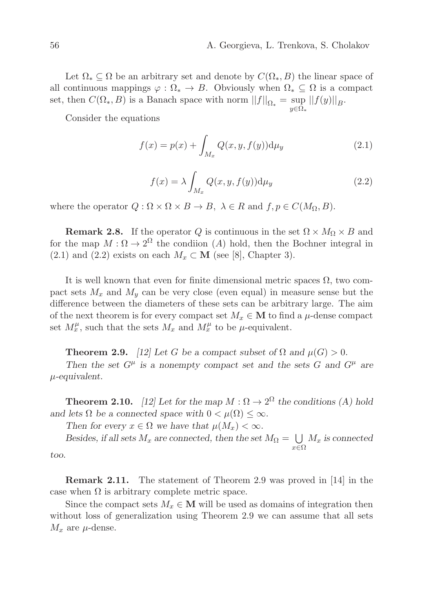Let  $\Omega_* \subset \Omega$  be an arbitrary set and denote by  $C(\Omega_*, B)$  the linear space of all continuous mappings  $\varphi : \Omega_* \to B$ . Obviously when  $\Omega_* \subseteq \Omega$  is a compact set, then  $C(\Omega_*, B)$  is a Banach space with norm  $||f||_{\Omega_*} = \sup_{y \in \Omega_*} ||f(y)||_B$ .

Consider the equations

$$
f(x) = p(x) + \int_{M_x} Q(x, y, f(y)) \mathrm{d}\mu_y \tag{2.1}
$$

$$
f(x) = \lambda \int_{M_x} Q(x, y, f(y)) \mathrm{d}\mu_y \tag{2.2}
$$

where the operator  $Q : \Omega \times \Omega \times B \to B$ ,  $\lambda \in R$  and  $f, p \in C(M_{\Omega}, B)$ .

**Remark 2.8.** If the operator Q is continuous in the set  $\Omega \times M_{\Omega} \times B$  and for the map  $M:\Omega\to 2^{\Omega}$  the condition (A) hold, then the Bochner integral in (2.1) and (2.2) exists on each  $M_x \subset \mathbf{M}$  (see [8], Chapter 3).

It is well known that even for finite dimensional metric spaces  $\Omega$ , two compact sets  $M_x$  and  $M_y$  can be very close (even equal) in measure sense but the difference between the diameters of these sets can be arbitrary large. The aim of the next theorem is for every compact set  $M_x \in \mathbf{M}$  to find a  $\mu$ -dense compact set  $M_x^{\mu}$ , such that the sets  $M_x$  and  $M_x^{\mu}$  to be  $\mu$ -equivalent.

**Theorem 2.9.** [12] Let G be a compact subset of  $\Omega$  and  $\mu(G) > 0$ .

Then the set  $G^{\mu}$  is a nonempty compact set and the sets G and  $G^{\mu}$  are  $\mu$ -equivalent.

**Theorem 2.10.** [12] Let for the map  $M : \Omega \to 2^{\Omega}$  the conditions (A) hold and lets  $\Omega$  be a connected space with  $0 < \mu(\Omega) \leq \infty$ .

Then for every  $x \in \Omega$  we have that  $\mu(M_x) < \infty$ .

Besides, if all sets  $M_x$  are connected, then the set  $M_{\Omega} = \bigcup$ x∈Ω  $M_x$  is connected

too.

Remark 2.11. The statement of Theorem 2.9 was proved in [14] in the case when  $\Omega$  is arbitrary complete metric space.

Since the compact sets  $M_x \in \mathbf{M}$  will be used as domains of integration then without loss of generalization using Theorem 2.9 we can assume that all sets  $M_x$  are  $\mu$ -dense.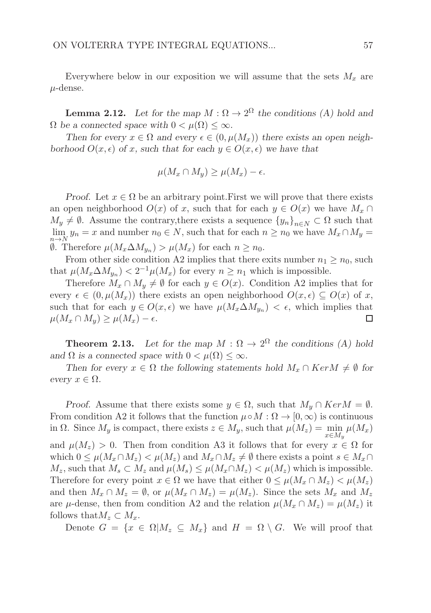Everywhere below in our exposition we will assume that the sets  $M_x$  are  $\mu$ -dense.

**Lemma 2.12.** Let for the map  $M : \Omega \to 2^{\Omega}$  the conditions (A) hold and  $\Omega$  be a connected space with  $0 < \mu(\Omega) < \infty$ .

Then for every  $x \in \Omega$  and every  $\epsilon \in (0, \mu(M_x))$  there exists an open neighborhood  $O(x, \epsilon)$  of x, such that for each  $y \in O(x, \epsilon)$  we have that

$$
\mu(M_x \cap M_y) \ge \mu(M_x) - \epsilon.
$$

Proof. Let  $x \in \Omega$  be an arbitrary point. First we will prove that there exists an open neighborhood  $O(x)$  of x, such that for each  $y \in O(x)$  we have  $M_x \cap$  $M_y \neq \emptyset$ . Assume the contrary, there exists a sequence  ${y_n}_{n\in N} \subset \Omega$  such that  $\lim_{n \to N} y_n = x$  and number  $n_0 \in N$ , such that for each  $n \ge n_0$  we have  $M_x \cap M_y =$  $\emptyset$ . Therefore  $\mu(M_x \Delta M_{y_n}) > \mu(M_x)$  for each  $n \geq n_0$ .

From other side condition A2 implies that there exits number  $n_1 \geq n_0$ , such that  $\mu(M_x \Delta M_{y_n}) < 2^{-1} \mu(M_x)$  for every  $n \geq n_1$  which is impossible.

Therefore  $M_x \cap M_y \neq \emptyset$  for each  $y \in O(x)$ . Condition A2 implies that for every  $\epsilon \in (0, \mu(M_x))$  there exists an open neighborhood  $O(x, \epsilon) \subseteq O(x)$  of x, such that for each  $y \in O(x, \epsilon)$  we have  $\mu(M_x \Delta M_{y_n}) < \epsilon$ , which implies that  $\mu(M_x \cap M_y) \geq \mu(M_x) - \epsilon.$ □

**Theorem 2.13.** Let for the map  $M : \Omega \to 2^{\Omega}$  the conditions (A) hold and  $\Omega$  is a connected space with  $0 < \mu(\Omega) \leq \infty$ .

Then for every  $x \in \Omega$  the following statements hold  $M_x \cap Ker M \neq \emptyset$  for every  $x \in \Omega$ .

Proof. Assume that there exists some  $y \in \Omega$ , such that  $M_y \cap Ker M = \emptyset$ . From condition A2 it follows that the function  $\mu \circ M : \Omega \to [0, \infty)$  is continuous in  $\Omega$ . Since  $M_y$  is compact, there exists  $z \in M_y$ , such that  $\mu(M_z) = \min_{x \in M_y} \mu(M_x)$ and  $\mu(M_z) > 0$ . Then from condition A3 it follows that for every  $x \in \Omega$  for which  $0 \leq \mu(M_x \cap M_z) < \mu(M_z)$  and  $M_x \cap M_z \neq \emptyset$  there exists a point  $s \in M_x \cap$  $M_z$ , such that  $M_s \subset M_z$  and  $\mu(M_s) \leq \mu(M_x \cap M_z) < \mu(M_z)$  which is impossible. Therefore for every point  $x \in \Omega$  we have that either  $0 \leq \mu(M_x \cap M_z) < \mu(M_z)$ and then  $M_x \cap M_z = \emptyset$ , or  $\mu(M_x \cap M_z) = \mu(M_z)$ . Since the sets  $M_x$  and  $M_z$ are  $\mu$ -dense, then from condition A2 and the relation  $\mu(M_x \cap M_z) = \mu(M_z)$  it follows that  $M_z \subset M_x$ .

Denote  $G = \{x \in \Omega | M_z \subseteq M_x\}$  and  $H = \Omega \setminus G$ . We will proof that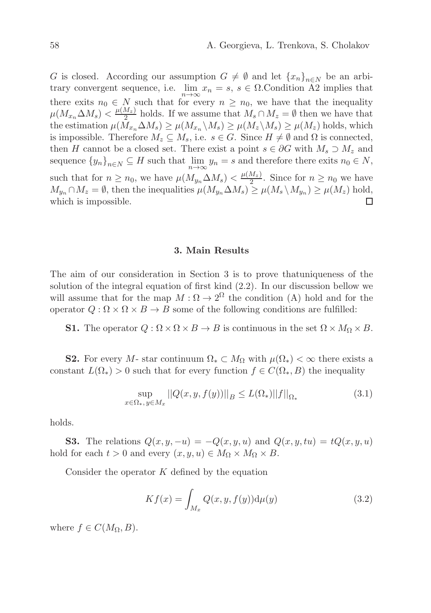G is closed. According our assumption  $G \neq \emptyset$  and let  $\{x_n\}_{n\in\mathbb{N}}$  be an arbitrary convergent sequence, i.e.  $\lim_{n\to\infty} x_n = s, s \in \Omega$ . Condition A2 implies that there exits  $n_0 \in N$  such that for every  $n \geq n_0$ , we have that the inequality  $\mu(M_{x_n}\Delta M_s)<\frac{\mu(M_z)}{2}$  $\frac{M_z}{2}$  holds. If we assume that  $M_s \cap M_z = \emptyset$  then we have that the estimation  $\mu(M_{x_n}\Delta M_s) \geq \mu(M_{x_n}\setminus M_s) \geq \mu(M_z\setminus M_s) \geq \mu(M_z)$  holds, which is impossible. Therefore  $M_z \subseteq M_s$ , i.e.  $s \in G$ . Since  $H \neq \emptyset$  and  $\Omega$  is connected, then H cannot be a closed set. There exist a point  $s \in \partial G$  with  $M_s \supset M_z$  and sequence  ${y_n}_{n \in N} \subseteq H$  such that  $\lim_{n \to \infty} y_n = s$  and therefore there exits  $n_0 \in N$ , such that for  $n \geq n_0$ , we have  $\mu(M_{y_n} \Delta M_s) < \frac{\mu(M_z)}{2}$  $\frac{m_z}{2}$ . Since for  $n \geq n_0$  we have  $M_{y_n} \cap M_z = \emptyset$ , then the inequalities  $\mu(M_{y_n} \Delta M_s) \ge \mu(M_s \setminus M_{y_n}) \ge \mu(M_z)$  hold, which is impossible.  $\Box$ 

### 3. Main Results

The aim of our consideration in Section 3 is to prove thatuniqueness of the solution of the integral equation of first kind (2.2). In our discussion bellow we will assume that for the map  $M : \Omega \to 2^{\Omega}$  the condition (A) hold and for the operator  $Q : \Omega \times \Omega \times B \to B$  some of the following conditions are fulfilled:

**S1.** The operator  $Q : \Omega \times \Omega \times B \to B$  is continuous in the set  $\Omega \times M_{\Omega} \times B$ .

**S2.** For every M- star continuum  $\Omega_* \subset M_{\Omega}$  with  $\mu(\Omega_*) < \infty$  there exists a constant  $L(\Omega_*) > 0$  such that for every function  $f \in C(\Omega_*, B)$  the inequality

$$
\sup_{x \in \Omega_*, y \in M_x} ||Q(x, y, f(y))||_B \le L(\Omega_*) ||f||_{\Omega_*}
$$
\n(3.1)

holds.

S3. The relations  $Q(x, y, -u) = -Q(x, y, u)$  and  $Q(x, y, tu) = tQ(x, y, u)$ hold for each  $t > 0$  and every  $(x, y, u) \in M_{\Omega} \times M_{\Omega} \times B$ .

Consider the operator  $K$  defined by the equation

$$
Kf(x) = \int_{M_x} Q(x, y, f(y)) \mathrm{d}\mu(y) \tag{3.2}
$$

where  $f \in C(M_{\Omega}, B)$ .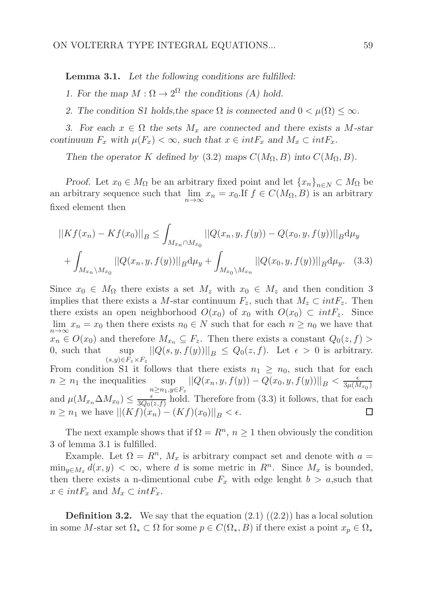Lemma 3.1. Let the following conditions are fulfilled:

1. For the map  $M : \Omega \to 2^{\Omega}$  the conditions (A) hold.

2. The condition S1 holds, the space  $\Omega$  is connected and  $0 < \mu(\Omega) \leq \infty$ .

3. For each  $x \in \Omega$  the sets  $M_x$  are connected and there exists a M-star continuum  $F_x$  with  $\mu(F_x) < \infty$ , such that  $x \in int F_x$  and  $M_x \subset int F_x$ .

Then the operator K defined by (3.2) maps  $C(M_{\Omega}, B)$  into  $C(M_{\Omega}, B)$ .

Proof. Let  $x_0 \in M_\Omega$  be an arbitrary fixed point and let  $\{x_n\}_{n \in N} \subset M_\Omega$  be an arbitrary sequence such that  $\lim_{n\to\infty} x_n = x_0$ . If  $f \in C(M_\Omega, B)$  is an arbitrary fixed element then

$$
||Kf(x_n) - Kf(x_0)||_B \le \int_{M_{x_n} \cap M_{x_0}} ||Q(x_n, y, f(y)) - Q(x_0, y, f(y))||_B d\mu_y
$$
  
+ 
$$
\int_{M_{x_n} \setminus M_{x_0}} ||Q(x_n, y, f(y))||_B d\mu_y + \int_{M_{x_0} \setminus M_{x_n}} ||Q(x_0, y, f(y))||_B d\mu_y.
$$
 (3.3)

Since  $x_0 \in M_\Omega$  there exists a set  $M_z$  with  $x_0 \in M_z$  and then condition 3 implies that there exists a M-star continuum  $F_z$ , such that  $M_z \subset intF_z$ . Then there exists an open neighborhood  $O(x_0)$  of  $x_0$  with  $O(x_0) \subset intF_z$ . Since  $\lim_{n\to\infty} x_n = x_0$  then there exists  $n_0 \in N$  such that for each  $n \ge n_0$  we have that  $x_n \in O(x_0)$  and therefore  $M_{x_n} \subseteq F_z$ . Then there exists a constant  $Q_0(z, f)$  $\|\mathcal{Q}(s, y, f(y))\|_{\mathcal{B}} \leq \mathcal{Q}_0(z, f).$  Let  $\epsilon > 0$  is arbitrary.  $0$ , such that  $(s,y)\in F_z\times F_z$ From condition S1 it follows that there exists  $n_1 \geq n_0$ , such that for each  $n \geq n_1$  the inequalities sup  $||Q(x_n, y, f(y)) - Q(x_0, y, f(y))||_B < \frac{\epsilon}{3\mu(M)}$  $3\mu(M_{x_0})$  $n \geq n_1, y \in F_z$ and  $\mu(M_{x_n} \Delta M_{x_0}) \leq \frac{\epsilon}{3Q_0(\epsilon)}$  $\frac{\epsilon}{3Q_0(z,f)}$  hold. Therefore from (3.3) it follows, that for each  $n \geq n_1$  we have  $||(Kf)(x_n) - (Kf)(x_0)||_B < \epsilon$ . □

The next example shows that if  $\Omega = R^n$ ,  $n \geq 1$  then obviously the condition 3 of lemma 3.1 is fulfilled.

Example. Let  $\Omega = R^n$ ,  $M_x$  is arbitrary compact set and denote with  $a =$  $\min_{y \in M_x} d(x, y) < \infty$ , where d is some metric in  $R^n$ . Since  $M_x$  is bounded, then there exists a n-dimentional cube  $F_x$  with edge lenght  $b > a$ , such that  $x \in int F_x$  and  $M_x \subset int F_x$ .

**Definition 3.2.** We say that the equation  $(2.1)$   $((2.2))$  has a local solution in some M-star set  $\Omega_* \subset \Omega$  for some  $p \in C(\Omega_*, B)$  if there exist a point  $x_p \in \Omega_*$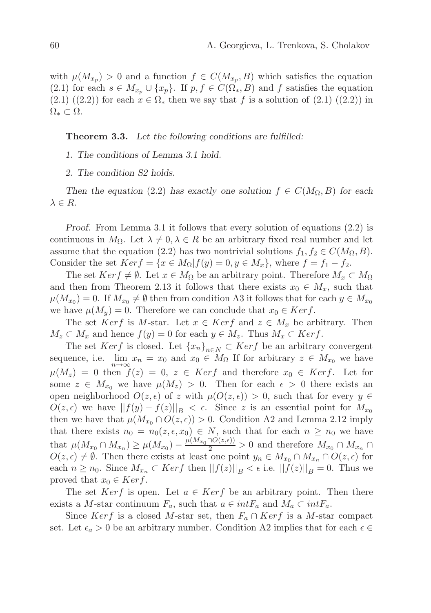with  $\mu(M_{x_p}) > 0$  and a function  $f \in C(M_{x_p}, B)$  which satisfies the equation (2.1) for each  $s \in M_{x_p} \cup \{x_p\}$ . If  $p, f \in C(\Omega_*, B)$  and f satisfies the equation  $(2.1) ((2.2))$  for each  $x \in \Omega_*$  then we say that f is a solution of  $(2.1) ((2.2))$  in  $\Omega_* \subset \Omega$ .

Theorem 3.3. Let the following conditions are fulfilled:

1. The conditions of Lemma 3.1 hold.

2. The condition S2 holds.

Then the equation (2.2) has exactly one solution  $f \in C(M_{\Omega}, B)$  for each  $\lambda \in R$ .

Proof. From Lemma 3.1 it follows that every solution of equations (2.2) is continuous in  $M_{\Omega}$ . Let  $\lambda \neq 0, \lambda \in R$  be an arbitrary fixed real number and let assume that the equation (2.2) has two nontrivial solutions  $f_1, f_2 \in C(M_{\Omega}, B)$ . Consider the set  $Ker f = \{x \in M_{\Omega} | f(y) = 0, y \in M_x\}$ , where  $f = f_1 - f_2$ .

The set  $Ker f \neq \emptyset$ . Let  $x \in M_{\Omega}$  be an arbitrary point. Therefore  $M_x \subset M_{\Omega}$ and then from Theorem 2.13 it follows that there exists  $x_0 \in M_x$ , such that  $\mu(M_{x_0}) = 0$ . If  $M_{x_0} \neq \emptyset$  then from condition A3 it follows that for each  $y \in M_{x_0}$ we have  $\mu(M_u) = 0$ . Therefore we can conclude that  $x_0 \in Ker f$ .

The set Kerf is M-star. Let  $x \in Ker f$  and  $z \in M_x$  be arbitrary. Then  $M_z \subset M_x$  and hence  $f(y) = 0$  for each  $y \in M_z$ . Thus  $M_x \subset Ker f$ .

The set Kerf is closed. Let  ${x_n}_{n\in N} \subset \text{Kerf}$  be an arbitrary convergent sequence, i.e.  $\lim_{n \to \infty} x_n = x_0$  and  $x_0 \in M_\Omega$  If for arbitrary  $z \in M_{x_0}$  we have  $\mu(M_z) = 0$  then  $f(z) = 0, z \in \text{Ker } f$  and therefore  $x_0 \in \text{Ker } f$ . Let for some  $z \in M_{x_0}$  we have  $\mu(M_z) > 0$ . Then for each  $\epsilon > 0$  there exists an open neighborhood  $O(z, \epsilon)$  of z with  $\mu(O(z, \epsilon)) > 0$ , such that for every  $y \in$  $O(z, \epsilon)$  we have  $||f(y) - f(z)||_B < \epsilon$ . Since z is an essential point for  $M_{x_0}$ then we have that  $\mu(M_{x_0} \cap O(z, \epsilon)) > 0$ . Condition A2 and Lemma 2.12 imply that there exists  $n_0 = n_0(z, \epsilon, x_0) \in N$ , such that for each  $n \geq n_0$  we have that  $\mu(M_{x_0} \cap M_{x_n}) \ge \mu(M_{x_0}) - \frac{\mu(M_{x_0} \cap O(z,\epsilon))}{2} > 0$  and therefore  $M_{x_0} \cap M_{x_n} \cap$  $O(z, \epsilon) \neq \emptyset$ . Then there exists at least one point  $y_n \in M_{x_0} \cap M_{x_n} \cap O(z, \epsilon)$  for each  $n \geq n_0$ . Since  $M_{x_n} \subset \text{Kerf}$  then  $||f(z)||_B < \epsilon$  i.e.  $||f(z)||_B = 0$ . Thus we proved that  $x_0 \in Ker f$ .

The set Kerf is open. Let  $a \in Ker f$  be an arbitrary point. Then there exists a M-star continuum  $F_a$ , such that  $a \in int F_a$  and  $M_a \subset int F_a$ .

Since Kerf is a closed M-star set, then  $F_a \cap Ker f$  is a M-star compact set. Let  $\epsilon_a > 0$  be an arbitrary number. Condition A2 implies that for each  $\epsilon \in$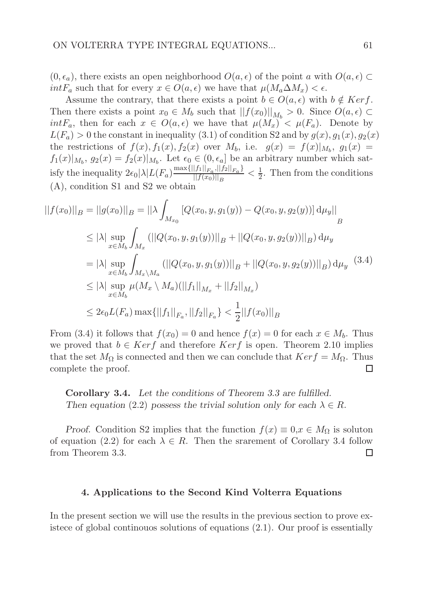$(0, \epsilon_a)$ , there exists an open neighborhood  $O(a, \epsilon)$  of the point a with  $O(a, \epsilon)$ int $F_a$  such that for every  $x \in O(a, \epsilon)$  we have that  $\mu(M_a \Delta M_x) < \epsilon$ .

Assume the contrary, that there exists a point  $b \in O(a, \epsilon)$  with  $b \notin Ker f$ . Then there exists a point  $x_0 \in M_b$  such that  $||f(x_0)||_{M_b} > 0$ . Since  $O(a, \epsilon) \subset$  $intF_a$ , then for each  $x \in O(a, \epsilon)$  we have that  $\mu(M_x) < \mu(F_a)$ . Denote by  $L(F_a) > 0$  the constant in inequality (3.1) of condition S2 and by  $g(x), g_1(x), g_2(x)$ the restrictions of  $f(x)$ ,  $f_1(x)$ ,  $f_2(x)$  over  $M_b$ , i.e.  $g(x) = f(x)|_{M_b}$ ,  $g_1(x) =$  $f_1(x)|_{M_b}$ ,  $g_2(x) = f_2(x)|_{M_b}$ . Let  $\epsilon_0 \in (0, \epsilon_a]$  be an arbitrary number which satisfy the inequality  $2\epsilon_0 |\lambda| L(F_a) \frac{\max\{||f_1||_{F_a}, ||f_2||_{F_a}\}}{||f(x_0)||_{F_a}}$  $\frac{||f_1||_{F_a},||f_2||_{F_a}f}{||f(x_0)||_B} < \frac{1}{2}$  $\frac{1}{2}$ . Then from the conditions (A), condition S1 and S2 we obtain

$$
||f(x_0)||_B = ||g(x_0)||_B = ||\lambda \int_{M_{x_0}} [Q(x_0, y, g_1(y)) - Q(x_0, y, g_2(y))] \, d\mu_y||_B
$$
  
\n
$$
\leq |\lambda| \sup_{x \in M_b} \int_{M_x} (||Q(x_0, y, g_1(y))||_B + ||Q(x_0, y, g_2(y))||_B) \, d\mu_y
$$
  
\n
$$
= |\lambda| \sup_{x \in M_b} \int_{M_x \setminus M_a} (||Q(x_0, y, g_1(y))||_B + ||Q(x_0, y, g_2(y))||_B) \, d\mu_y \quad (3.4)
$$
  
\n
$$
\leq |\lambda| \sup_{x \in M_b} \mu(M_x \setminus M_a)(||f_1||_{M_x} + ||f_2||_{M_x})
$$
  
\n
$$
\leq 2\epsilon_0 L(F_a) \max\{||f_1||_{F_a}, ||f_2||_{F_a}\} < \frac{1}{2} ||f(x_0)||_B
$$

From (3.4) it follows that  $f(x_0) = 0$  and hence  $f(x) = 0$  for each  $x \in M_b$ . Thus we proved that  $b \in Ker f$  and therefore  $Ker f$  is open. Theorem 2.10 implies that the set  $M_{\Omega}$  is connected and then we can conclude that  $Ker f = M_{\Omega}$ . Thus complete the proof.  $\Box$ 

Corollary 3.4. Let the conditions of Theorem 3.3 are fulfilled. Then equation (2.2) possess the trivial solution only for each  $\lambda \in R$ .

Proof. Condition S2 implies that the function  $f(x) \equiv 0, x \in M_{\Omega}$  is soluton of equation (2.2) for each  $\lambda \in R$ . Then the srarement of Corollary 3.4 follow from Theorem 3.3.  $\Box$ 

#### 4. Applications to the Second Kind Volterra Equations

In the present section we will use the results in the previous section to prove existece of global continouos solutions of equations (2.1). Our proof is essentially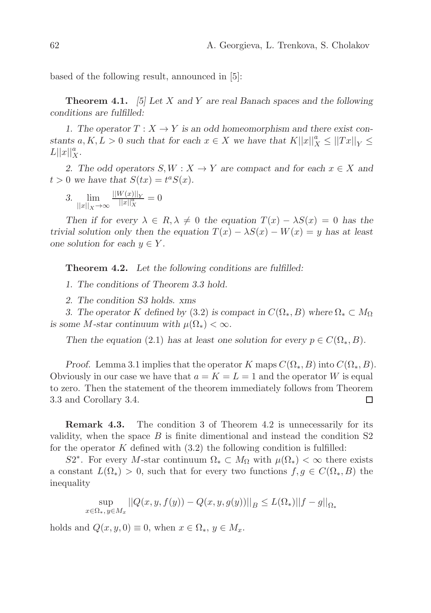based of the following result, announced in [5]:

**Theorem 4.1.** [5] Let X and Y are real Banach spaces and the following conditions are fulfilled:

1. The operator  $T : X \to Y$  is an odd homeomorphism and there exist constants  $a, K, L > 0$  such that for each  $x \in X$  we have that  $K||x||_X^2 \le ||Tx||_Y \le$  $L||x||_X^a$ .

2. The odd operators  $S, W: X \to Y$  are compact and for each  $x \in X$  and  $t > 0$  we have that  $S(tx) = t^a S(x)$ .

3. lim  $||x||_X \rightarrow \infty$  $\frac{||W(x)||_Y}{||x||_X^a} = 0$ 

Then if for every  $\lambda \in R$ ,  $\lambda \neq 0$  the equation  $T(x) - \lambda S(x) = 0$  has the trivial solution only then the equation  $T(x) - \lambda S(x) - W(x) = y$  has at least one solution for each  $y \in Y$ .

**Theorem 4.2.** Let the following conditions are fulfilled:

1. The conditions of Theorem 3.3 hold.

2. The condition S3 holds. xms

3. The operator K defined by (3.2) is compact in  $C(\Omega_*, B)$  where  $\Omega_* \subset M_{\Omega}$ is some M-star continuum with  $\mu(\Omega_*) < \infty$ .

Then the equation (2.1) has at least one solution for every  $p \in C(\Omega_*, B)$ .

Proof. Lemma 3.1 implies that the operator K maps  $C(\Omega_*, B)$  into  $C(\Omega_*, B)$ . Obviously in our case we have that  $a = K = L = 1$  and the operator W is equal to zero. Then the statement of the theorem immediately follows from Theorem 3.3 and Corollary 3.4.  $\Box$ 

Remark 4.3. The condition 3 of Theorem 4.2 is unnecessarily for its validity, when the space  $B$  is finite dimentional and instead the condition  $S2$ for the operator  $K$  defined with  $(3.2)$  the following condition is fulfilled:

S2<sup>\*</sup>. For every M-star continuum  $\Omega_* \subset M_{\Omega}$  with  $\mu(\Omega_*) < \infty$  there exists a constant  $L(\Omega_*) > 0$ , such that for every two functions  $f, g \in C(\Omega_*, B)$  the inequality

$$
\sup_{x \in \Omega_*, y \in M_x} ||Q(x, y, f(y)) - Q(x, y, g(y))||_B \le L(\Omega_*) ||f - g||_{\Omega_*}
$$

holds and  $Q(x, y, 0) \equiv 0$ , when  $x \in \Omega_*$ ,  $y \in M_x$ .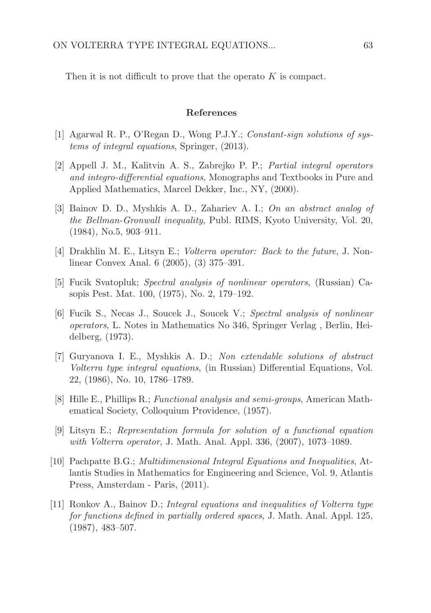Then it is not difficult to prove that the operato K is compact.

#### References

- [1] Agarwal R. P., O'Regan D., Wong P.J.Y.; Constant-sign solutions of systems of integral equations, Springer, (2013).
- [2] Appell J. M., Kalitvin A. S., Zabrejko P. P.; Partial integral operators and integro-differential equations, Monographs and Textbooks in Pure and Applied Mathematics, Marcel Dekker, Inc., NY, (2000).
- [3] Bainov D. D., Myshkis A. D., Zahariev A. I.; On an abstract analog of the Bellman-Gronwall inequality, Publ. RIMS, Kyoto University, Vol. 20, (1984), No.5, 903–911.
- [4] Drakhlin M. E., Litsyn E.; Volterra operator: Back to the future, J. Nonlinear Convex Anal. 6 (2005), (3) 375–391.
- [5] Fucik Svatopluk; Spectral analysis of nonlinear operators, (Russian) Casopis Pest. Mat. 100, (1975), No. 2, 179–192.
- [6] Fucik S., Necas J., Soucek J., Soucek V.; Spectral analysis of nonlinear operators, L. Notes in Mathematics No 346, Springer Verlag , Berlin, Heidelberg, (1973).
- [7] Guryanova I. E., Myshkis A. D.; Non extendable solutions of abstract Volterra type integral equations, (in Russian) Differential Equations, Vol. 22, (1986), No. 10, 1786–1789.
- [8] Hille E., Phillips R.; Functional analysis and semi-groups, American Mathematical Society, Colloquium Providence, (1957).
- [9] Litsyn E.; Representation formula for solution of a functional equation with Volterra operator, J. Math. Anal. Appl. 336, (2007), 1073–1089.
- [10] Pachpatte B.G.; Multidimensional Integral Equations and Inequalities, Atlantis Studies in Mathematics for Engineering and Science, Vol. 9, Atlantis Press, Amsterdam - Paris, (2011).
- [11] Ronkov A., Bainov D.; Integral equations and inequalities of Volterra type for functions defined in partially ordered spaces, J. Math. Anal. Appl. 125, (1987), 483–507.